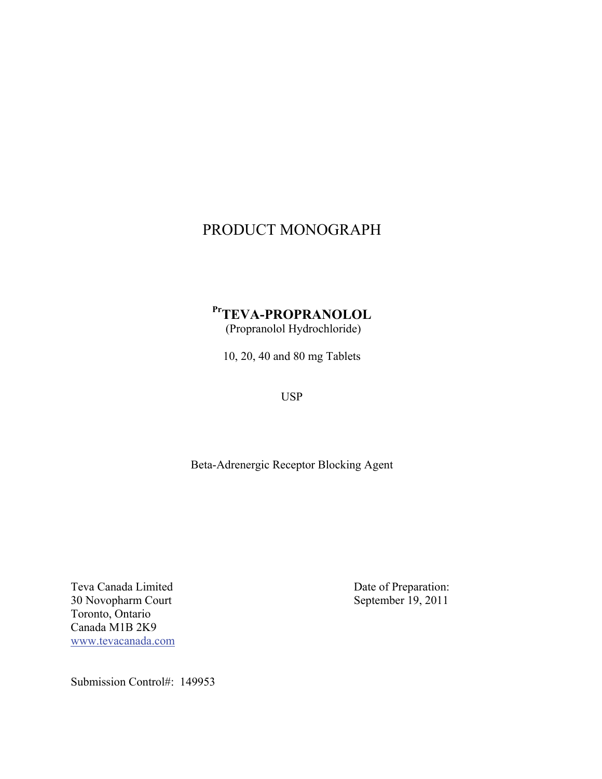# PRODUCT MONOGRAPH

# **PrTEVA-PROPRANOLOL**  (Propranolol Hydrochloride)

10, 20, 40 and 80 mg Tablets

USP

Beta-Adrenergic Receptor Blocking Agent

Teva Canada Limited Date of Preparation: 30 Novopharm Court September 19, 2011 Toronto, Ontario Canada M1B 2K9 www.tevacanada.com

Submission Control#: 149953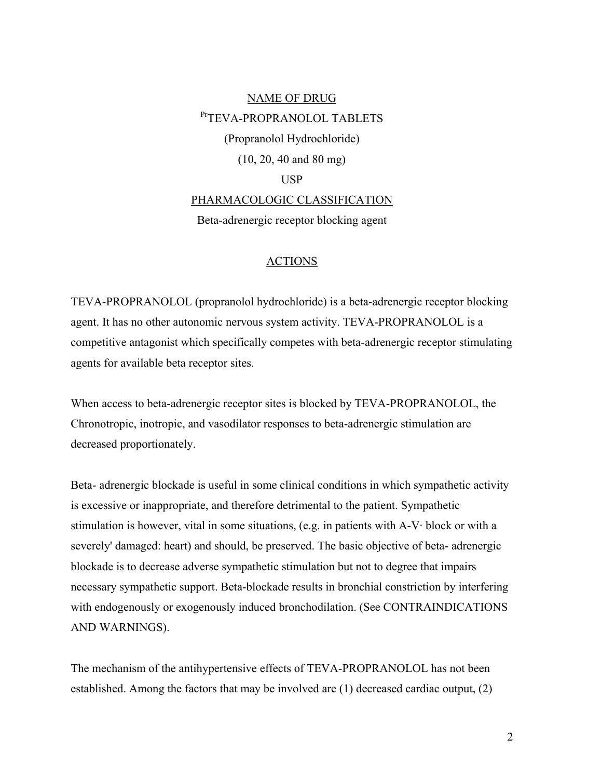# NAME OF DRUG PTTEVA-PROPRANOLOL TABLETS (Propranolol Hydrochloride) (10, 20, 40 and 80 mg) USP PHARMACOLOGIC CLASSIFICATION Beta-adrenergic receptor blocking agent

# ACTIONS

TEVA-PROPRANOLOL (propranolol hydrochloride) is a beta-adrenergic receptor blocking agent. It has no other autonomic nervous system activity. TEVA-PROPRANOLOL is a competitive antagonist which specifically competes with beta-adrenergic receptor stimulating agents for available beta receptor sites.

When access to beta-adrenergic receptor sites is blocked by TEVA-PROPRANOLOL, the Chronotropic, inotropic, and vasodilator responses to beta-adrenergic stimulation are decreased proportionately.

Beta- adrenergic blockade is useful in some clinical conditions in which sympathetic activity is excessive or inappropriate, and therefore detrimental to the patient. Sympathetic stimulation is however, vital in some situations, (e.g. in patients with A-V· block or with a severely' damaged: heart) and should, be preserved. The basic objective of beta- adrenergic blockade is to decrease adverse sympathetic stimulation but not to degree that impairs necessary sympathetic support. Beta-blockade results in bronchial constriction by interfering with endogenously or exogenously induced bronchodilation. (See CONTRAINDICATIONS AND WARNINGS).

The mechanism of the antihypertensive effects of TEVA-PROPRANOLOL has not been established. Among the factors that may be involved are (1) decreased cardiac output, (2)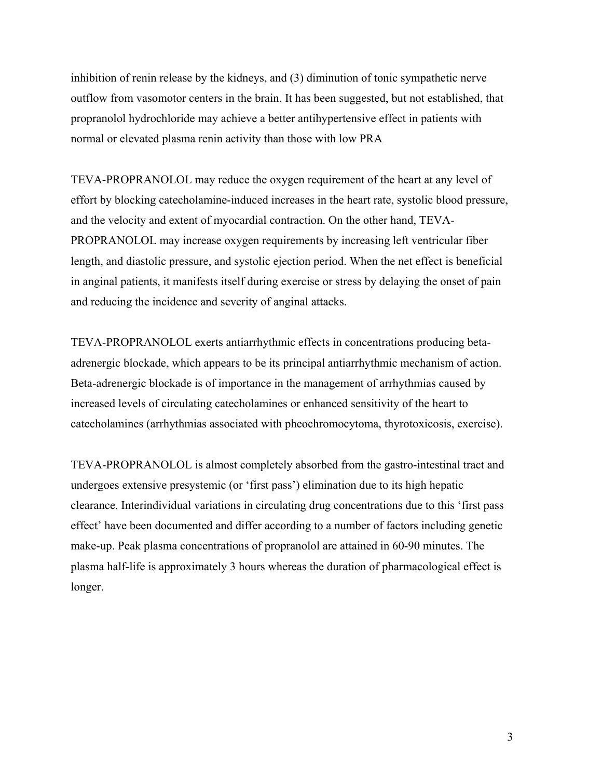inhibition of renin release by the kidneys, and (3) diminution of tonic sympathetic nerve outflow from vasomotor centers in the brain. It has been suggested, but not established, that propranolol hydrochloride may achieve a better antihypertensive effect in patients with normal or elevated plasma renin activity than those with low PRA

TEVA-PROPRANOLOL may reduce the oxygen requirement of the heart at any level of effort by blocking catecholamine-induced increases in the heart rate, systolic blood pressure, and the velocity and extent of myocardial contraction. On the other hand, TEVA-PROPRANOLOL may increase oxygen requirements by increasing left ventricular fiber length, and diastolic pressure, and systolic ejection period. When the net effect is beneficial in anginal patients, it manifests itself during exercise or stress by delaying the onset of pain and reducing the incidence and severity of anginal attacks.

TEVA-PROPRANOLOL exerts antiarrhythmic effects in concentrations producing betaadrenergic blockade, which appears to be its principal antiarrhythmic mechanism of action. Beta-adrenergic blockade is of importance in the management of arrhythmias caused by increased levels of circulating catecholamines or enhanced sensitivity of the heart to catecholamines (arrhythmias associated with pheochromocytoma, thyrotoxicosis, exercise).

TEVA-PROPRANOLOL is almost completely absorbed from the gastro-intestinal tract and undergoes extensive presystemic (or 'first pass') elimination due to its high hepatic clearance. Interindividual variations in circulating drug concentrations due to this 'first pass effect' have been documented and differ according to a number of factors including genetic make-up. Peak plasma concentrations of propranolol are attained in 60-90 minutes. The plasma half-life is approximately 3 hours whereas the duration of pharmacological effect is longer.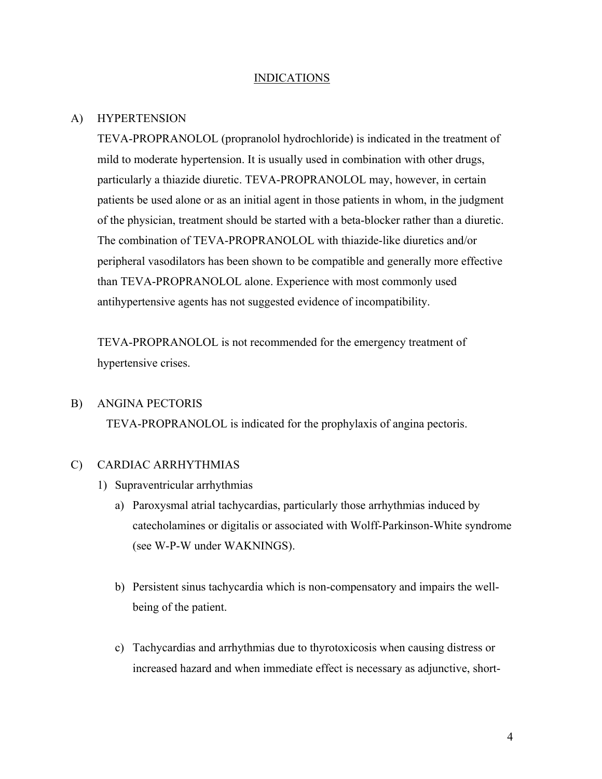#### INDICATIONS

#### A) HYPERTENSION

TEVA-PROPRANOLOL (propranolol hydrochloride) is indicated in the treatment of mild to moderate hypertension. It is usually used in combination with other drugs, particularly a thiazide diuretic. TEVA-PROPRANOLOL may, however, in certain patients be used alone or as an initial agent in those patients in whom, in the judgment of the physician, treatment should be started with a beta-blocker rather than a diuretic. The combination of TEVA-PROPRANOLOL with thiazide-like diuretics and/or peripheral vasodilators has been shown to be compatible and generally more effective than TEVA-PROPRANOLOL alone. Experience with most commonly used antihypertensive agents has not suggested evidence of incompatibility.

TEVA-PROPRANOLOL is not recommended for the emergency treatment of hypertensive crises.

#### B) ANGINA PECTORIS

TEVA-PROPRANOLOL is indicated for the prophylaxis of angina pectoris.

#### C) CARDIAC ARRHYTHMIAS

- 1) Supraventricular arrhythmias
	- a) Paroxysmal atrial tachycardias, particularly those arrhythmias induced by catecholamines or digitalis or associated with Wolff-Parkinson-White syndrome (see W-P-W under WAKNINGS).
	- b) Persistent sinus tachycardia which is non-compensatory and impairs the wellbeing of the patient.
	- c) Tachycardias and arrhythmias due to thyrotoxicosis when causing distress or increased hazard and when immediate effect is necessary as adjunctive, short-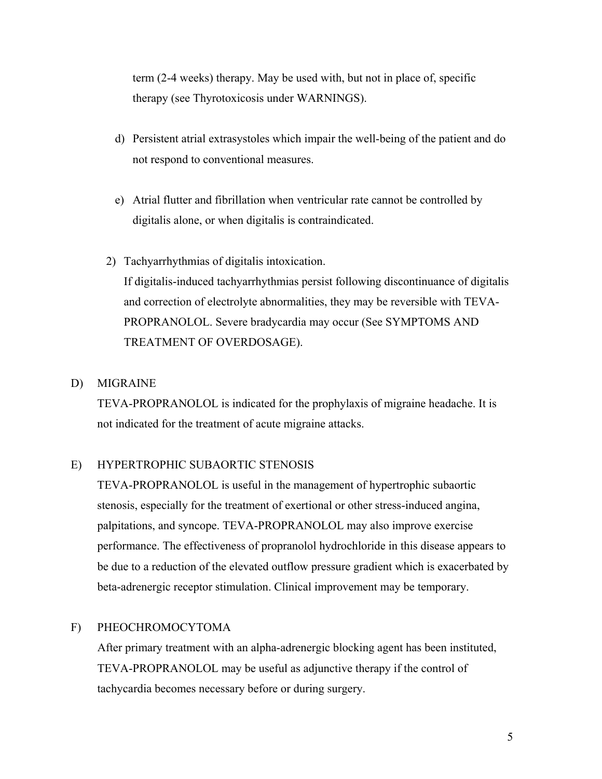term (2-4 weeks) therapy. May be used with, but not in place of, specific therapy (see Thyrotoxicosis under WARNINGS).

- d) Persistent atrial extrasystoles which impair the well-being of the patient and do not respond to conventional measures.
- e) Atrial flutter and fibrillation when ventricular rate cannot be controlled by digitalis alone, or when digitalis is contraindicated.
- 2) Tachyarrhythmias of digitalis intoxication. If digitalis-induced tachyarrhythmias persist following discontinuance of digitalis and correction of electrolyte abnormalities, they may be reversible with TEVA-PROPRANOLOL. Severe bradycardia may occur (See SYMPTOMS AND TREATMENT OF OVERDOSAGE).

# D) MIGRAINE

TEVA-PROPRANOLOL is indicated for the prophylaxis of migraine headache. It is not indicated for the treatment of acute migraine attacks.

# E) HYPERTROPHIC SUBAORTIC STENOSIS

TEVA-PROPRANOLOL is useful in the management of hypertrophic subaortic stenosis, especially for the treatment of exertional or other stress-induced angina, palpitations, and syncope. TEVA-PROPRANOLOL may also improve exercise performance. The effectiveness of propranolol hydrochloride in this disease appears to be due to a reduction of the elevated outflow pressure gradient which is exacerbated by beta-adrenergic receptor stimulation. Clinical improvement may be temporary.

# F) PHEOCHROMOCYTOMA

After primary treatment with an alpha-adrenergic blocking agent has been instituted, TEVA-PROPRANOLOL may be useful as adjunctive therapy if the control of tachycardia becomes necessary before or during surgery.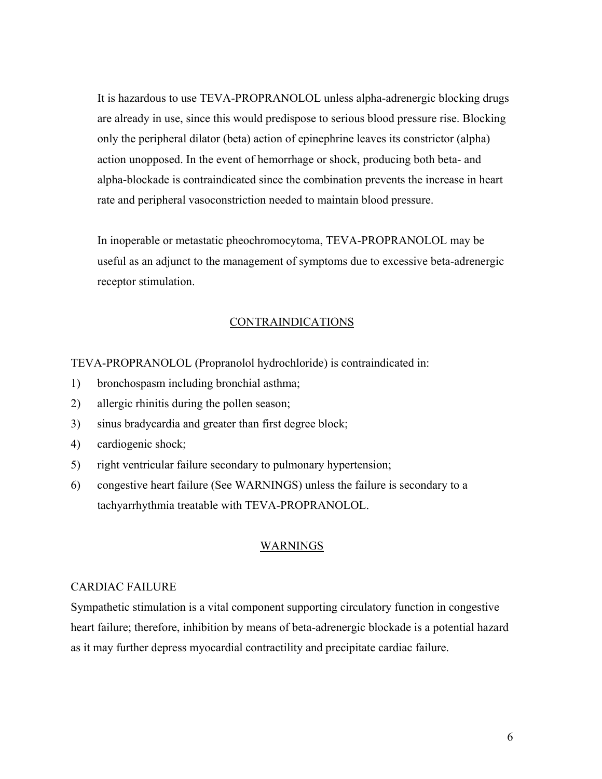It is hazardous to use TEVA-PROPRANOLOL unless alpha-adrenergic blocking drugs are already in use, since this would predispose to serious blood pressure rise. Blocking only the peripheral dilator (beta) action of epinephrine leaves its constrictor (alpha) action unopposed. In the event of hemorrhage or shock, producing both beta- and alpha-blockade is contraindicated since the combination prevents the increase in heart rate and peripheral vasoconstriction needed to maintain blood pressure.

In inoperable or metastatic pheochromocytoma, TEVA-PROPRANOLOL may be useful as an adjunct to the management of symptoms due to excessive beta-adrenergic receptor stimulation.

# **CONTRAINDICATIONS**

TEVA-PROPRANOLOL (Propranolol hydrochloride) is contraindicated in:

- 1) bronchospasm including bronchial asthma;
- 2) allergic rhinitis during the pollen season;
- 3) sinus bradycardia and greater than first degree block;
- 4) cardiogenic shock;
- 5) right ventricular failure secondary to pulmonary hypertension;
- 6) congestive heart failure (See WARNINGS) unless the failure is secondary to a tachyarrhythmia treatable with TEVA-PROPRANOLOL.

## WARNINGS

#### CARDIAC FAILURE

Sympathetic stimulation is a vital component supporting circulatory function in congestive heart failure; therefore, inhibition by means of beta-adrenergic blockade is a potential hazard as it may further depress myocardial contractility and precipitate cardiac failure.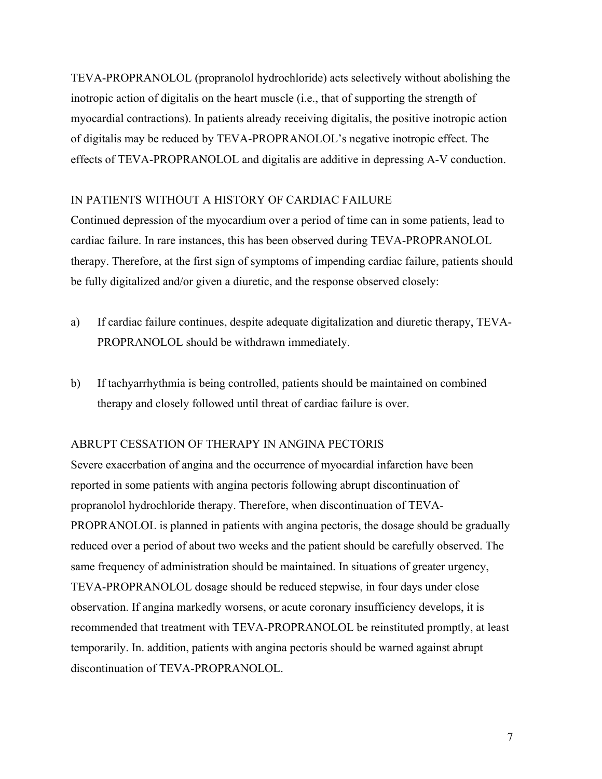TEVA-PROPRANOLOL (propranolol hydrochloride) acts selectively without abolishing the inotropic action of digitalis on the heart muscle (i.e., that of supporting the strength of myocardial contractions). In patients already receiving digitalis, the positive inotropic action of digitalis may be reduced by TEVA-PROPRANOLOL's negative inotropic effect. The effects of TEVA-PROPRANOLOL and digitalis are additive in depressing A-V conduction.

# IN PATIENTS WITHOUT A HISTORY OF CARDIAC FAILURE

Continued depression of the myocardium over a period of time can in some patients, lead to cardiac failure. In rare instances, this has been observed during TEVA-PROPRANOLOL therapy. Therefore, at the first sign of symptoms of impending cardiac failure, patients should be fully digitalized and/or given a diuretic, and the response observed closely:

- a) If cardiac failure continues, despite adequate digitalization and diuretic therapy, TEVA-PROPRANOLOL should be withdrawn immediately.
- b) If tachyarrhythmia is being controlled, patients should be maintained on combined therapy and closely followed until threat of cardiac failure is over.

# ABRUPT CESSATION OF THERAPY IN ANGINA PECTORIS

Severe exacerbation of angina and the occurrence of myocardial infarction have been reported in some patients with angina pectoris following abrupt discontinuation of propranolol hydrochloride therapy. Therefore, when discontinuation of TEVA-PROPRANOLOL is planned in patients with angina pectoris, the dosage should be gradually reduced over a period of about two weeks and the patient should be carefully observed. The same frequency of administration should be maintained. In situations of greater urgency, TEVA-PROPRANOLOL dosage should be reduced stepwise, in four days under close observation. If angina markedly worsens, or acute coronary insufficiency develops, it is recommended that treatment with TEVA-PROPRANOLOL be reinstituted promptly, at least temporarily. In. addition, patients with angina pectoris should be warned against abrupt discontinuation of TEVA-PROPRANOLOL.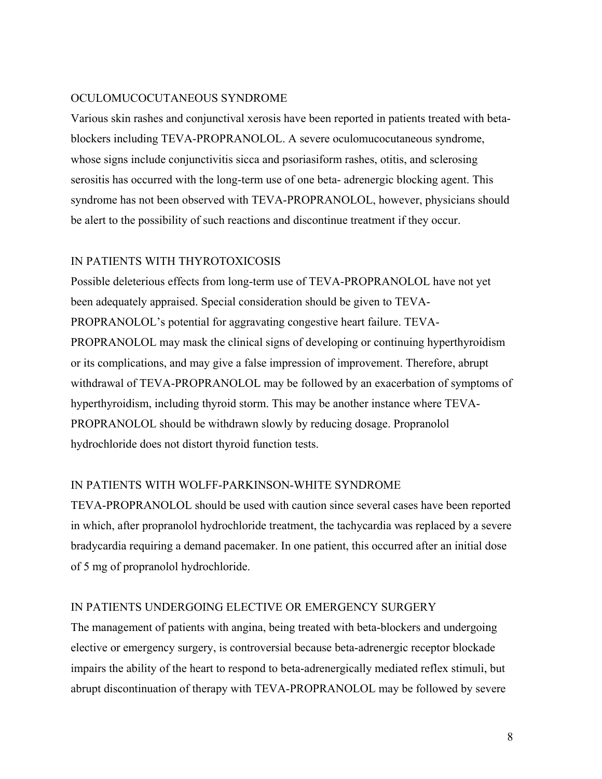# OCULOMUCOCUTANEOUS SYNDROME

Various skin rashes and conjunctival xerosis have been reported in patients treated with betablockers including TEVA-PROPRANOLOL. A severe oculomucocutaneous syndrome, whose signs include conjunctivitis sicca and psoriasiform rashes, otitis, and sclerosing serositis has occurred with the long-term use of one beta- adrenergic blocking agent. This syndrome has not been observed with TEVA-PROPRANOLOL, however, physicians should be alert to the possibility of such reactions and discontinue treatment if they occur.

## IN PATIENTS WITH THYROTOXICOSIS

Possible deleterious effects from long-term use of TEVA-PROPRANOLOL have not yet been adequately appraised. Special consideration should be given to TEVA-PROPRANOLOL's potential for aggravating congestive heart failure. TEVA-PROPRANOLOL may mask the clinical signs of developing or continuing hyperthyroidism or its complications, and may give a false impression of improvement. Therefore, abrupt withdrawal of TEVA-PROPRANOLOL may be followed by an exacerbation of symptoms of hyperthyroidism, including thyroid storm. This may be another instance where TEVA-PROPRANOLOL should be withdrawn slowly by reducing dosage. Propranolol hydrochloride does not distort thyroid function tests.

#### IN PATIENTS WITH WOLFF-PARKINSON-WHITE SYNDROME

TEVA-PROPRANOLOL should be used with caution since several cases have been reported in which, after propranolol hydrochloride treatment, the tachycardia was replaced by a severe bradycardia requiring a demand pacemaker. In one patient, this occurred after an initial dose of 5 mg of propranolol hydrochloride.

## IN PATIENTS UNDERGOING ELECTIVE OR EMERGENCY SURGERY

The management of patients with angina, being treated with beta-blockers and undergoing elective or emergency surgery, is controversial because beta-adrenergic receptor blockade impairs the ability of the heart to respond to beta-adrenergically mediated reflex stimuli, but abrupt discontinuation of therapy with TEVA-PROPRANOLOL may be followed by severe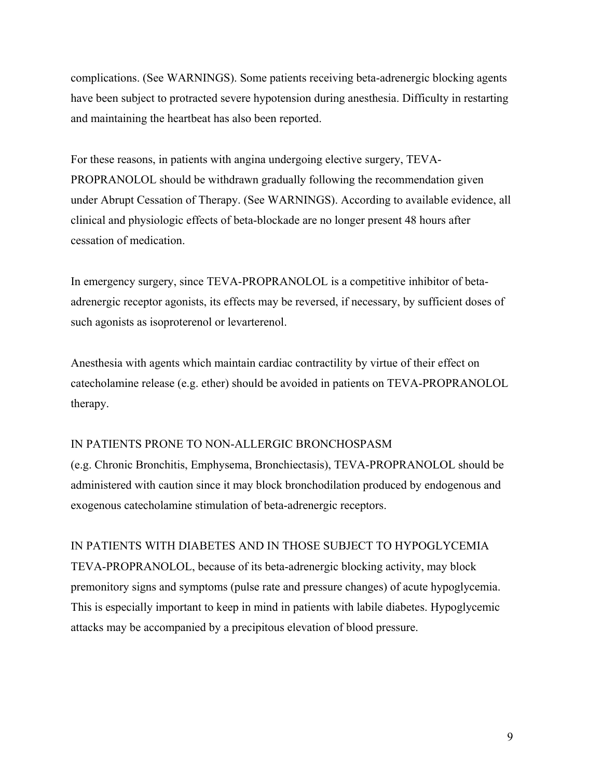complications. (See WARNINGS). Some patients receiving beta-adrenergic blocking agents have been subject to protracted severe hypotension during anesthesia. Difficulty in restarting and maintaining the heartbeat has also been reported.

For these reasons, in patients with angina undergoing elective surgery, TEVA-PROPRANOLOL should be withdrawn gradually following the recommendation given under Abrupt Cessation of Therapy. (See WARNINGS). According to available evidence, all clinical and physiologic effects of beta-blockade are no longer present 48 hours after cessation of medication.

In emergency surgery, since TEVA-PROPRANOLOL is a competitive inhibitor of betaadrenergic receptor agonists, its effects may be reversed, if necessary, by sufficient doses of such agonists as isoproterenol or levarterenol.

Anesthesia with agents which maintain cardiac contractility by virtue of their effect on catecholamine release (e.g. ether) should be avoided in patients on TEVA-PROPRANOLOL therapy.

# IN PATIENTS PRONE TO NON-ALLERGIC BRONCHOSPASM

(e.g. Chronic Bronchitis, Emphysema, Bronchiectasis), TEVA-PROPRANOLOL should be administered with caution since it may block bronchodilation produced by endogenous and exogenous catecholamine stimulation of beta-adrenergic receptors.

IN PATIENTS WITH DIABETES AND IN THOSE SUBJECT TO HYPOGLYCEMIA TEVA-PROPRANOLOL, because of its beta-adrenergic blocking activity, may block premonitory signs and symptoms (pulse rate and pressure changes) of acute hypoglycemia. This is especially important to keep in mind in patients with labile diabetes. Hypoglycemic attacks may be accompanied by a precipitous elevation of blood pressure.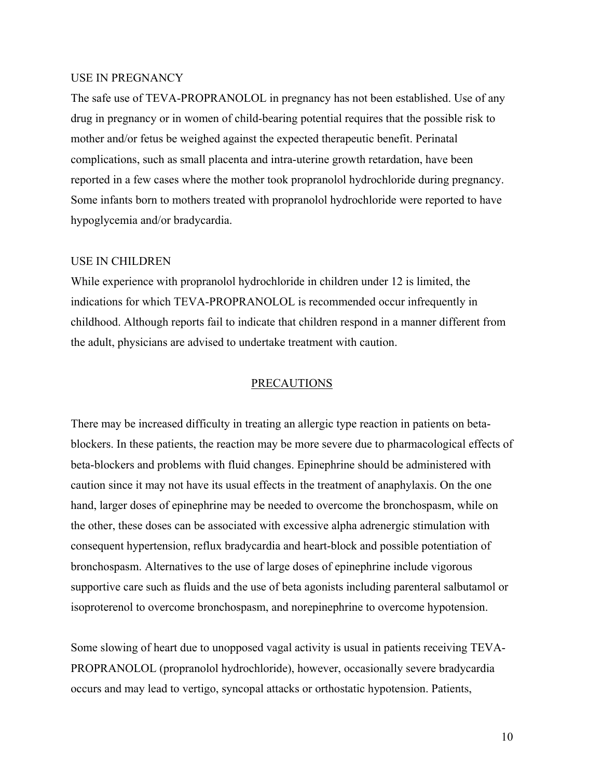#### USE IN PREGNANCY

The safe use of TEVA-PROPRANOLOL in pregnancy has not been established. Use of any drug in pregnancy or in women of child-bearing potential requires that the possible risk to mother and/or fetus be weighed against the expected therapeutic benefit. Perinatal complications, such as small placenta and intra-uterine growth retardation, have been reported in a few cases where the mother took propranolol hydrochloride during pregnancy. Some infants born to mothers treated with propranolol hydrochloride were reported to have hypoglycemia and/or bradycardia.

#### USE IN CHILDREN

While experience with propranolol hydrochloride in children under 12 is limited, the indications for which TEVA-PROPRANOLOL is recommended occur infrequently in childhood. Although reports fail to indicate that children respond in a manner different from the adult, physicians are advised to undertake treatment with caution.

#### PRECAUTIONS

There may be increased difficulty in treating an allergic type reaction in patients on betablockers. In these patients, the reaction may be more severe due to pharmacological effects of beta-blockers and problems with fluid changes. Epinephrine should be administered with caution since it may not have its usual effects in the treatment of anaphylaxis. On the one hand, larger doses of epinephrine may be needed to overcome the bronchospasm, while on the other, these doses can be associated with excessive alpha adrenergic stimulation with consequent hypertension, reflux bradycardia and heart-block and possible potentiation of bronchospasm. Alternatives to the use of large doses of epinephrine include vigorous supportive care such as fluids and the use of beta agonists including parenteral salbutamol or isoproterenol to overcome bronchospasm, and norepinephrine to overcome hypotension.

Some slowing of heart due to unopposed vagal activity is usual in patients receiving TEVA-PROPRANOLOL (propranolol hydrochloride), however, occasionally severe bradycardia occurs and may lead to vertigo, syncopal attacks or orthostatic hypotension. Patients,

10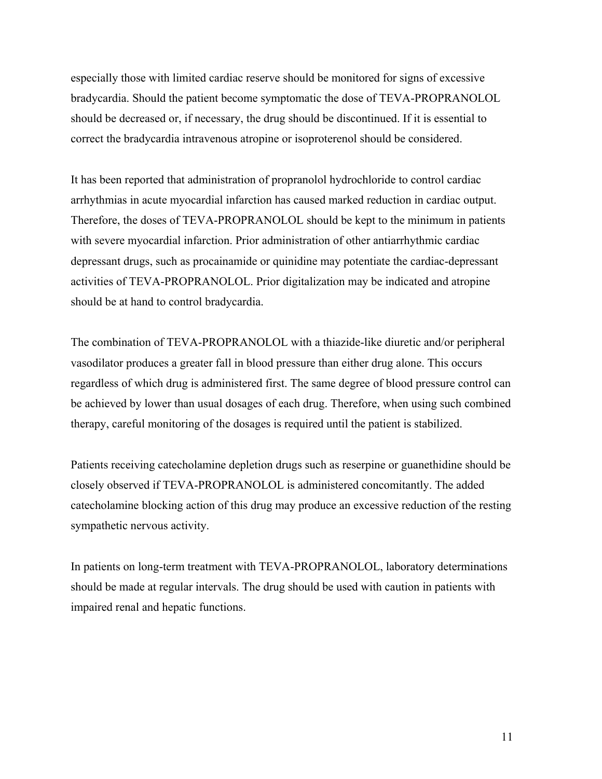especially those with limited cardiac reserve should be monitored for signs of excessive bradycardia. Should the patient become symptomatic the dose of TEVA-PROPRANOLOL should be decreased or, if necessary, the drug should be discontinued. If it is essential to correct the bradycardia intravenous atropine or isoproterenol should be considered.

It has been reported that administration of propranolol hydrochloride to control cardiac arrhythmias in acute myocardial infarction has caused marked reduction in cardiac output. Therefore, the doses of TEVA-PROPRANOLOL should be kept to the minimum in patients with severe myocardial infarction. Prior administration of other antiarrhythmic cardiac depressant drugs, such as procainamide or quinidine may potentiate the cardiac-depressant activities of TEVA-PROPRANOLOL. Prior digitalization may be indicated and atropine should be at hand to control bradycardia.

The combination of TEVA-PROPRANOLOL with a thiazide-like diuretic and/or peripheral vasodilator produces a greater fall in blood pressure than either drug alone. This occurs regardless of which drug is administered first. The same degree of blood pressure control can be achieved by lower than usual dosages of each drug. Therefore, when using such combined therapy, careful monitoring of the dosages is required until the patient is stabilized.

Patients receiving catecholamine depletion drugs such as reserpine or guanethidine should be closely observed if TEVA-PROPRANOLOL is administered concomitantly. The added catecholamine blocking action of this drug may produce an excessive reduction of the resting sympathetic nervous activity.

In patients on long-term treatment with TEVA-PROPRANOLOL, laboratory determinations should be made at regular intervals. The drug should be used with caution in patients with impaired renal and hepatic functions.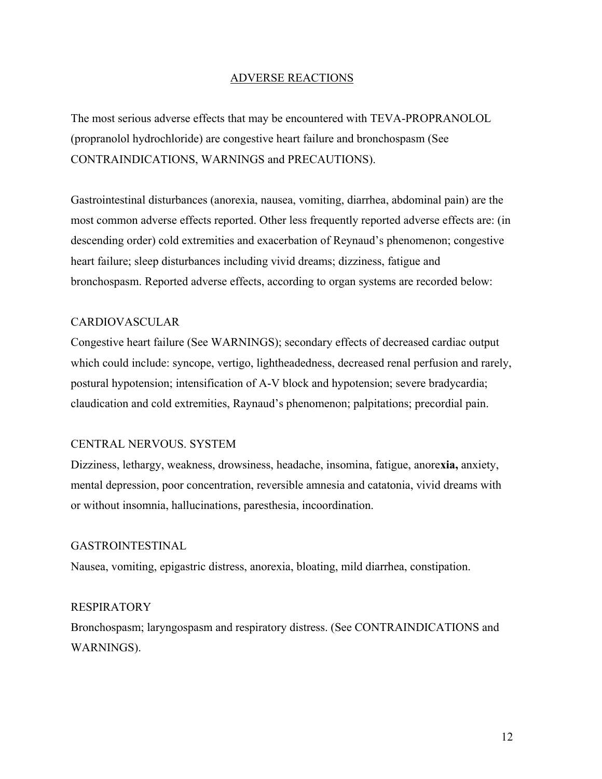## ADVERSE REACTIONS

The most serious adverse effects that may be encountered with TEVA-PROPRANOLOL (propranolol hydrochloride) are congestive heart failure and bronchospasm (See CONTRAINDICATIONS, WARNINGS and PRECAUTIONS).

Gastrointestinal disturbances (anorexia, nausea, vomiting, diarrhea, abdominal pain) are the most common adverse effects reported. Other less frequently reported adverse effects are: (in descending order) cold extremities and exacerbation of Reynaud's phenomenon; congestive heart failure; sleep disturbances including vivid dreams; dizziness, fatigue and bronchospasm. Reported adverse effects, according to organ systems are recorded below:

# CARDIOVASCULAR

Congestive heart failure (See WARNINGS); secondary effects of decreased cardiac output which could include: syncope, vertigo, lightheadedness, decreased renal perfusion and rarely, postural hypotension; intensification of A-V block and hypotension; severe bradycardia; claudication and cold extremities, Raynaud's phenomenon; palpitations; precordial pain.

#### CENTRAL NERVOUS. SYSTEM

Dizziness, lethargy, weakness, drowsiness, headache, insomina, fatigue, anore**xia,** anxiety, mental depression, poor concentration, reversible amnesia and catatonia, vivid dreams with or without insomnia, hallucinations, paresthesia, incoordination.

#### GASTROINTESTINAL

Nausea, vomiting, epigastric distress, anorexia, bloating, mild diarrhea, constipation.

## RESPIRATORY

Bronchospasm; laryngospasm and respiratory distress. (See CONTRAINDICATIONS and WARNINGS).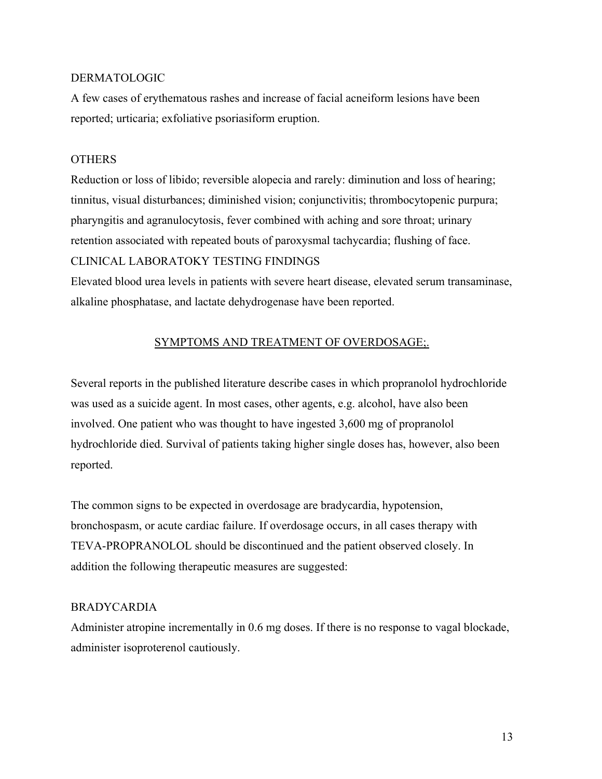# DERMATOLOGIC

A few cases of erythematous rashes and increase of facial acneiform lesions have been reported; urticaria; exfoliative psoriasiform eruption.

# **OTHERS**

Reduction or loss of libido; reversible alopecia and rarely: diminution and loss of hearing; tinnitus, visual disturbances; diminished vision; conjunctivitis; thrombocytopenic purpura; pharyngitis and agranulocytosis, fever combined with aching and sore throat; urinary retention associated with repeated bouts of paroxysmal tachycardia; flushing of face. CLINICAL LABORATOKY TESTING FINDINGS

Elevated blood urea levels in patients with severe heart disease, elevated serum transaminase, alkaline phosphatase, and lactate dehydrogenase have been reported.

# SYMPTOMS AND TREATMENT OF OVERDOSAGE;.

Several reports in the published literature describe cases in which propranolol hydrochloride was used as a suicide agent. In most cases, other agents, e.g. alcohol, have also been involved. One patient who was thought to have ingested 3,600 mg of propranolol hydrochloride died. Survival of patients taking higher single doses has, however, also been reported.

The common signs to be expected in overdosage are bradycardia, hypotension, bronchospasm, or acute cardiac failure. If overdosage occurs, in all cases therapy with TEVA-PROPRANOLOL should be discontinued and the patient observed closely. In addition the following therapeutic measures are suggested:

# BRADYCARDIA

Administer atropine incrementally in 0.6 mg doses. If there is no response to vagal blockade, administer isoproterenol cautiously.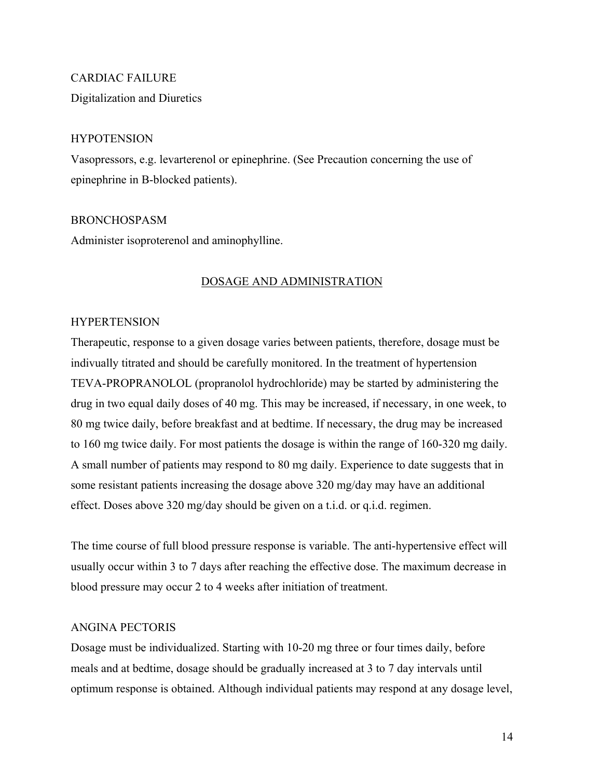# CARDIAC FAILURE

Digitalization and Diuretics

# **HYPOTENSION**

Vasopressors, e.g. levarterenol or epinephrine. (See Precaution concerning the use of epinephrine in B-blocked patients).

# BRONCHOSPASM

Administer isoproterenol and aminophylline.

# DOSAGE AND ADMINISTRATION

# **HYPERTENSION**

Therapeutic, response to a given dosage varies between patients, therefore, dosage must be indivually titrated and should be carefully monitored. In the treatment of hypertension TEVA-PROPRANOLOL (propranolol hydrochloride) may be started by administering the drug in two equal daily doses of 40 mg. This may be increased, if necessary, in one week, to 80 mg twice daily, before breakfast and at bedtime. If necessary, the drug may be increased to 160 mg twice daily. For most patients the dosage is within the range of 160-320 mg daily. A small number of patients may respond to 80 mg daily. Experience to date suggests that in some resistant patients increasing the dosage above 320 mg/day may have an additional effect. Doses above 320 mg/day should be given on a t.i.d. or q.i.d. regimen.

The time course of full blood pressure response is variable. The anti-hypertensive effect will usually occur within 3 to 7 days after reaching the effective dose. The maximum decrease in blood pressure may occur 2 to 4 weeks after initiation of treatment.

# ANGINA PECTORIS

Dosage must be individualized. Starting with 10-20 mg three or four times daily, before meals and at bedtime, dosage should be gradually increased at 3 to 7 day intervals until optimum response is obtained. Although individual patients may respond at any dosage level,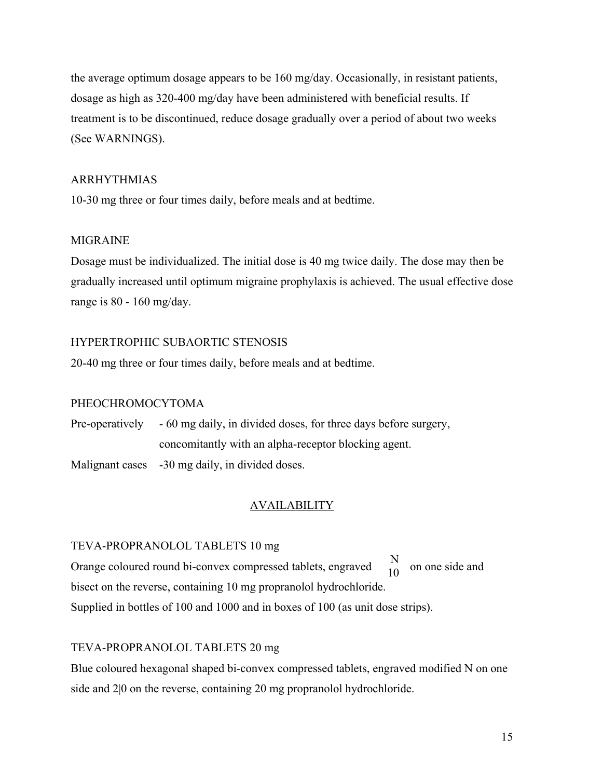the average optimum dosage appears to be 160 mg/day. Occasionally, in resistant patients, dosage as high as 320-400 mg/day have been administered with beneficial results. If treatment is to be discontinued, reduce dosage gradually over a period of about two weeks (See WARNINGS).

# ARRHYTHMIAS

10-30 mg three or four times daily, before meals and at bedtime.

# MIGRAINE

Dosage must be individualized. The initial dose is 40 mg twice daily. The dose may then be gradually increased until optimum migraine prophylaxis is achieved. The usual effective dose range is 80 - 160 mg/day.

# HYPERTROPHIC SUBAORTIC STENOSIS

20-40 mg three or four times daily, before meals and at bedtime.

# PHEOCHROMOCYTOMA

Pre-operatively - 60 mg daily, in divided doses, for three days before surgery, concomitantly with an alpha-receptor blocking agent.

Malignant cases -30 mg daily, in divided doses.

# AVAILABILITY

# TEVA-PROPRANOLOL TABLETS 10 mg

Orange coloured round bi-convex compressed tablets, engraved  $\frac{1}{10}$  on one side and bisect on the reverse, containing 10 mg propranolol hydrochloride. Supplied in bottles of 100 and 1000 and in boxes of 100 (as unit dose strips). N 10

# TEVA-PROPRANOLOL TABLETS 20 mg

Blue coloured hexagonal shaped bi-convex compressed tablets, engraved modified N on one side and 2|0 on the reverse, containing 20 mg propranolol hydrochloride.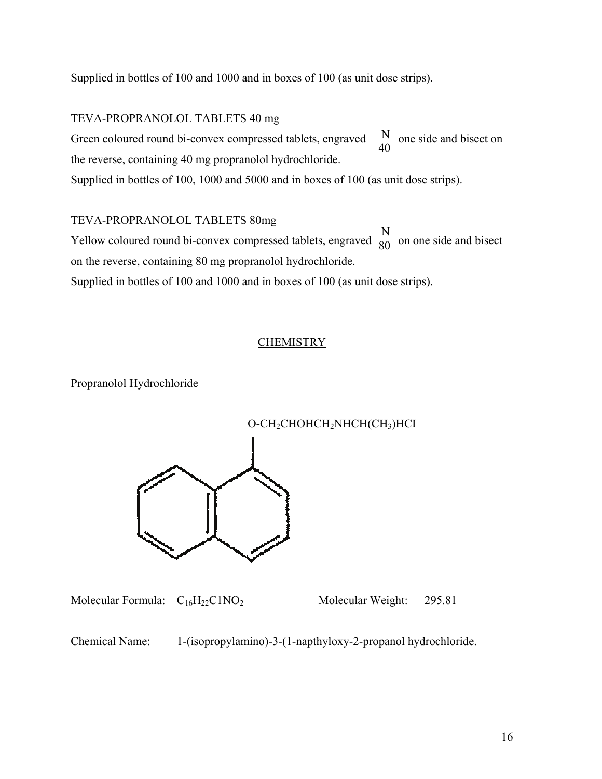Supplied in bottles of 100 and 1000 and in boxes of 100 (as unit dose strips).

# TEVA-PROPRANOLOL TABLETS 40 mg

Green coloured round bi-convex compressed tablets, engraved the reverse, containing 40 mg propranolol hydrochloride. Supplied in bottles of 100, 1000 and 5000 and in boxes of 100 (as unit dose strips). N 40

TEVA-PROPRANOLOL TABLETS 80mg Yellow coloured round bi-convex compressed tablets, engraved  $\overrightarrow{g_0}$  on one side and bisect on the reverse, containing 80 mg propranolol hydrochloride. N 80

Supplied in bottles of 100 and 1000 and in boxes of 100 (as unit dose strips).

# **CHEMISTRY**

Propranolol Hydrochloride



Molecular Formula:  $C_{16}H_{22}C1NO_2$  Molecular Weight: 295.81

Chemical Name: 1-(isopropylamino)-3-(1-napthyloxy-2-propanol hydrochloride.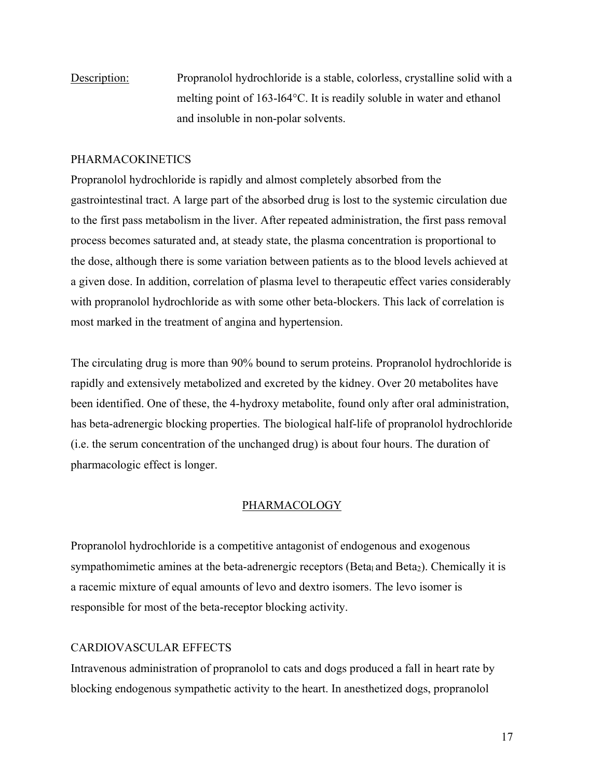Description: Propranolol hydrochloride is a stable, colorless, crystalline solid with a melting point of 163-l64°C. It is readily soluble in water and ethanol and insoluble in non-polar solvents.

# PHARMACOKINETICS

Propranolol hydrochloride is rapidly and almost completely absorbed from the gastrointestinal tract. A large part of the absorbed drug is lost to the systemic circulation due to the first pass metabolism in the liver. After repeated administration, the first pass removal process becomes saturated and, at steady state, the plasma concentration is proportional to the dose, although there is some variation between patients as to the blood levels achieved at a given dose. In addition, correlation of plasma level to therapeutic effect varies considerably with propranolol hydrochloride as with some other beta-blockers. This lack of correlation is most marked in the treatment of angina and hypertension.

The circulating drug is more than 90% bound to serum proteins. Propranolol hydrochloride is rapidly and extensively metabolized and excreted by the kidney. Over 20 metabolites have been identified. One of these, the 4-hydroxy metabolite, found only after oral administration, has beta-adrenergic blocking properties. The biological half-life of propranolol hydrochloride (i.e. the serum concentration of the unchanged drug) is about four hours. The duration of pharmacologic effect is longer.

# PHARMACOLOGY

Propranolol hydrochloride is a competitive antagonist of endogenous and exogenous sympathomimetic amines at the beta-adrenergic receptors (Beta<sub>l</sub> and Beta<sub>2</sub>). Chemically it is a racemic mixture of equal amounts of levo and dextro isomers. The levo isomer is responsible for most of the beta-receptor blocking activity.

# CARDIOVASCULAR EFFECTS

Intravenous administration of propranolol to cats and dogs produced a fall in heart rate by blocking endogenous sympathetic activity to the heart. In anesthetized dogs, propranolol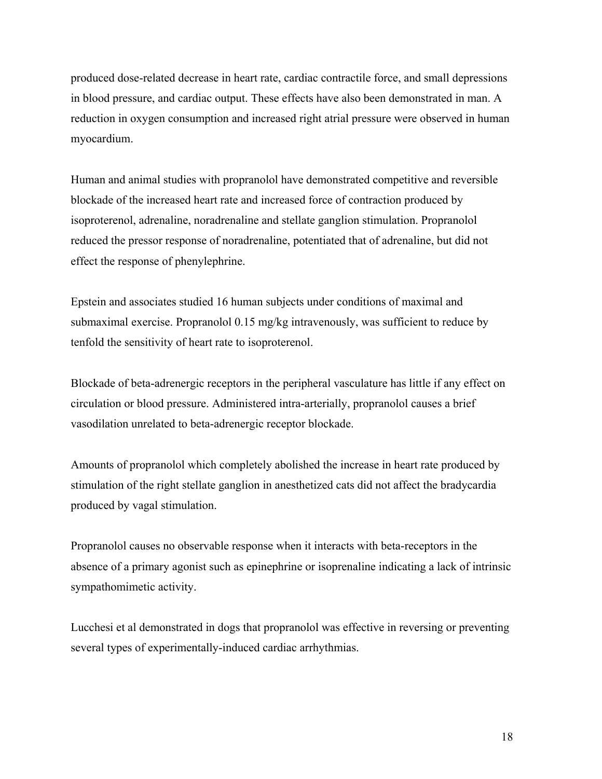produced dose-related decrease in heart rate, cardiac contractile force, and small depressions in blood pressure, and cardiac output. These effects have also been demonstrated in man. A reduction in oxygen consumption and increased right atrial pressure were observed in human myocardium.

Human and animal studies with propranolol have demonstrated competitive and reversible blockade of the increased heart rate and increased force of contraction produced by isoproterenol, adrenaline, noradrenaline and stellate ganglion stimulation. Propranolol reduced the pressor response of noradrenaline, potentiated that of adrenaline, but did not effect the response of phenylephrine.

Epstein and associates studied 16 human subjects under conditions of maximal and submaximal exercise. Propranolol 0.15 mg/kg intravenously, was sufficient to reduce by tenfold the sensitivity of heart rate to isoproterenol.

Blockade of beta-adrenergic receptors in the peripheral vasculature has little if any effect on circulation or blood pressure. Administered intra-arterially, propranolol causes a brief vasodilation unrelated to beta-adrenergic receptor blockade.

Amounts of propranolol which completely abolished the increase in heart rate produced by stimulation of the right stellate ganglion in anesthetized cats did not affect the bradycardia produced by vagal stimulation.

Propranolol causes no observable response when it interacts with beta-receptors in the absence of a primary agonist such as epinephrine or isoprenaline indicating a lack of intrinsic sympathomimetic activity.

Lucchesi et al demonstrated in dogs that propranolol was effective in reversing or preventing several types of experimentally-induced cardiac arrhythmias.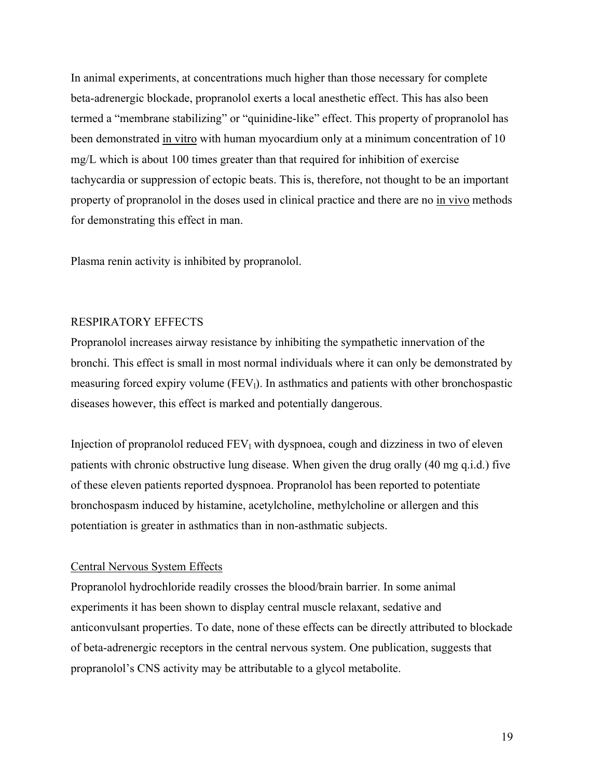In animal experiments, at concentrations much higher than those necessary for complete beta-adrenergic blockade, propranolol exerts a local anesthetic effect. This has also been termed a "membrane stabilizing" or "quinidine-like" effect. This property of propranolol has been demonstrated in vitro with human myocardium only at a minimum concentration of 10 mg/L which is about 100 times greater than that required for inhibition of exercise tachycardia or suppression of ectopic beats. This is, therefore, not thought to be an important property of propranolol in the doses used in clinical practice and there are no in vivo methods for demonstrating this effect in man.

Plasma renin activity is inhibited by propranolol.

# RESPIRATORY EFFECTS

Propranolol increases airway resistance by inhibiting the sympathetic innervation of the bronchi. This effect is small in most normal individuals where it can only be demonstrated by measuring forced expiry volume  $(FEV_l)$ . In asthmatics and patients with other bronchospastic diseases however, this effect is marked and potentially dangerous.

Injection of propranolol reduced  $FEV_1$  with dyspnoea, cough and dizziness in two of eleven patients with chronic obstructive lung disease. When given the drug orally (40 mg q.i.d.) five of these eleven patients reported dyspnoea. Propranolol has been reported to potentiate bronchospasm induced by histamine, acetylcholine, methylcholine or allergen and this potentiation is greater in asthmatics than in non-asthmatic subjects.

# Central Nervous System Effects

Propranolol hydrochloride readily crosses the blood/brain barrier. In some animal experiments it has been shown to display central muscle relaxant, sedative and anticonvulsant properties. To date, none of these effects can be directly attributed to blockade of beta-adrenergic receptors in the central nervous system. One publication, suggests that propranolol's CNS activity may be attributable to a glycol metabolite.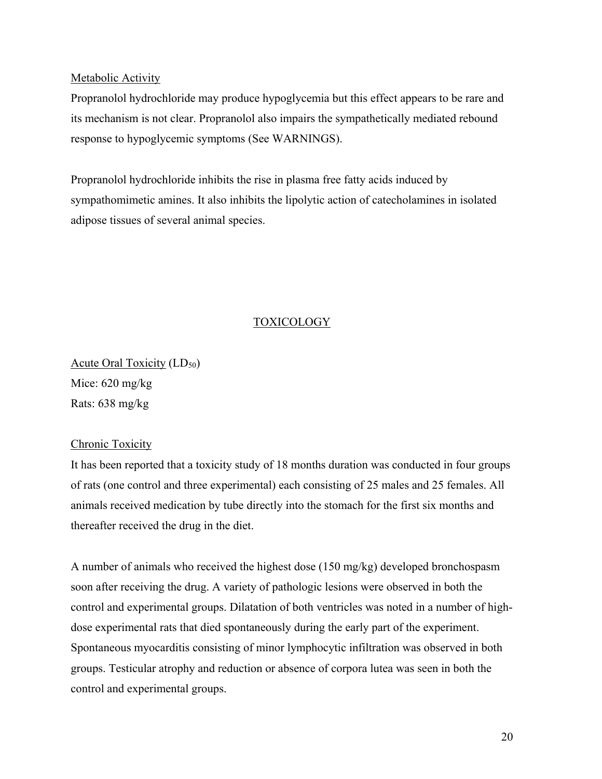## Metabolic Activity

Propranolol hydrochloride may produce hypoglycemia but this effect appears to be rare and its mechanism is not clear. Propranolol also impairs the sympathetically mediated rebound response to hypoglycemic symptoms (See WARNINGS).

Propranolol hydrochloride inhibits the rise in plasma free fatty acids induced by sympathomimetic amines. It also inhibits the lipolytic action of catecholamines in isolated adipose tissues of several animal species.

# TOXICOLOGY

Acute Ora<u>l Toxicity</u> (LD<sub>50</sub>) Mice: 620 mg/kg Rats: 638 mg/kg

# Chronic Toxicity

It has been reported that a toxicity study of 18 months duration was conducted in four groups of rats (one control and three experimental) each consisting of 25 males and 25 females. All animals received medication by tube directly into the stomach for the first six months and thereafter received the drug in the diet.

A number of animals who received the highest dose (150 mg/kg) developed bronchospasm soon after receiving the drug. A variety of pathologic lesions were observed in both the control and experimental groups. Dilatation of both ventricles was noted in a number of highdose experimental rats that died spontaneously during the early part of the experiment. Spontaneous myocarditis consisting of minor lymphocytic infiltration was observed in both groups. Testicular atrophy and reduction or absence of corpora lutea was seen in both the control and experimental groups.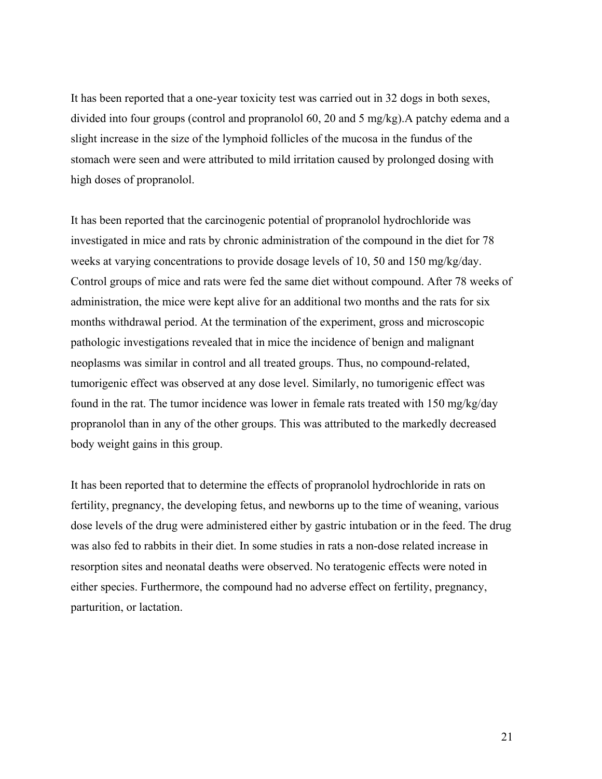It has been reported that a one-year toxicity test was carried out in 32 dogs in both sexes, divided into four groups (control and propranolol 60, 20 and 5 mg/kg).A patchy edema and a slight increase in the size of the lymphoid follicles of the mucosa in the fundus of the stomach were seen and were attributed to mild irritation caused by prolonged dosing with high doses of propranolol.

It has been reported that the carcinogenic potential of propranolol hydrochloride was investigated in mice and rats by chronic administration of the compound in the diet for 78 weeks at varying concentrations to provide dosage levels of 10, 50 and 150 mg/kg/day. Control groups of mice and rats were fed the same diet without compound. After 78 weeks of administration, the mice were kept alive for an additional two months and the rats for six months withdrawal period. At the termination of the experiment, gross and microscopic pathologic investigations revealed that in mice the incidence of benign and malignant neoplasms was similar in control and all treated groups. Thus, no compound-related, tumorigenic effect was observed at any dose level. Similarly, no tumorigenic effect was found in the rat. The tumor incidence was lower in female rats treated with 150 mg/kg/day propranolol than in any of the other groups. This was attributed to the markedly decreased body weight gains in this group.

It has been reported that to determine the effects of propranolol hydrochloride in rats on fertility, pregnancy, the developing fetus, and newborns up to the time of weaning, various dose levels of the drug were administered either by gastric intubation or in the feed. The drug was also fed to rabbits in their diet. In some studies in rats a non-dose related increase in resorption sites and neonatal deaths were observed. No teratogenic effects were noted in either species. Furthermore, the compound had no adverse effect on fertility, pregnancy, parturition, or lactation.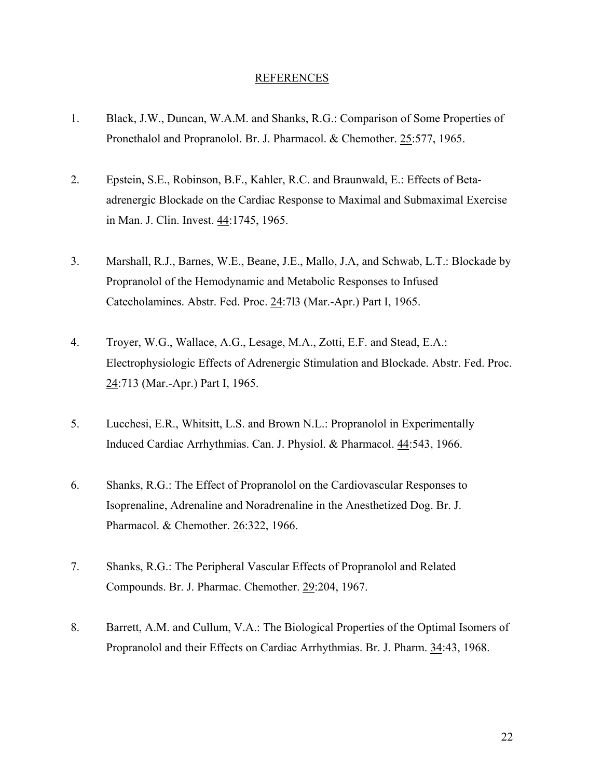#### **REFERENCES**

- 1. Black, J.W., Duncan, W.A.M. and Shanks, R.G.: Comparison of Some Properties of Pronethalol and Propranolol. Br. J. Pharmacol. & Chemother. 25:577, 1965.
- 2. Epstein, S.E., Robinson, B.F., Kahler, R.C. and Braunwald, E.: Effects of Betaadrenergic Blockade on the Cardiac Response to Maximal and Submaximal Exercise in Man. J. Clin. Invest. 44:1745, 1965.
- 3. Marshall, R.J., Barnes, W.E., Beane, J.E., Mallo, J.A, and Schwab, L.T.: Blockade by Propranolol of the Hemodynamic and Metabolic Responses to Infused Catecholamines. Abstr. Fed. Proc. 24:7l3 (Mar.-Apr.) Part I, 1965.
- 4. Troyer, W.G., Wallace, A.G., Lesage, M.A., Zotti, E.F. and Stead, E.A.: Electrophysiologic Effects of Adrenergic Stimulation and Blockade. Abstr. Fed. Proc. 24:713 (Mar.-Apr.) Part I, 1965.
- 5. Lucchesi, E.R., Whitsitt, L.S. and Brown N.L.: Propranolol in Experimentally Induced Cardiac Arrhythmias. Can. J. Physiol. & Pharmacol. 44:543, 1966.
- 6. Shanks, R.G.: The Effect of Propranolol on the Cardiovascular Responses to Isoprenaline, Adrenaline and Noradrenaline in the Anesthetized Dog. Br. J. Pharmacol. & Chemother. 26:322, 1966.
- 7. Shanks, R.G.: The Peripheral Vascular Effects of Propranolol and Related Compounds. Br. J. Pharmac. Chemother. 29:204, 1967.
- 8. Barrett, A.M. and Cullum, V.A.: The Biological Properties of the Optimal Isomers of Propranolol and their Effects on Cardiac Arrhythmias. Br. J. Pharm. 34:43, 1968.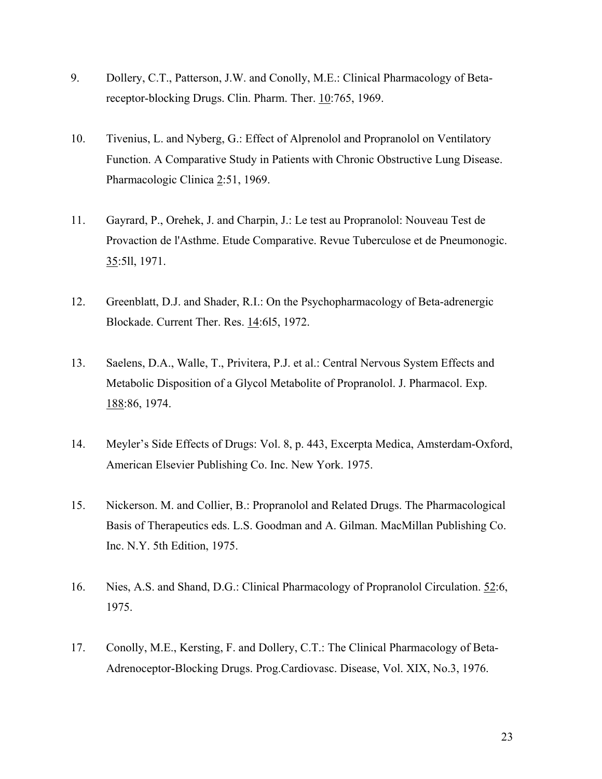- 9. Dollery, C.T., Patterson, J.W. and Conolly, M.E.: Clinical Pharmacology of Betareceptor-blocking Drugs. Clin. Pharm. Ther. 10:765, 1969.
- 10. Tivenius, L. and Nyberg, G.: Effect of Alprenolol and Propranolol on Ventilatory Function. A Comparative Study in Patients with Chronic Obstructive Lung Disease. Pharmacologic Clinica 2:51, 1969.
- 11. Gayrard, P., Orehek, J. and Charpin, J.: Le test au Propranolol: Nouveau Test de Provaction de l'Asthme. Etude Comparative. Revue Tuberculose et de Pneumonogic. 35:5ll, 1971.
- 12. Greenblatt, D.J. and Shader, R.I.: On the Psychopharmacology of Beta-adrenergic Blockade. Current Ther. Res. 14:6l5, 1972.
- 13. Saelens, D.A., Walle, T., Privitera, P.J. et al.: Central Nervous System Effects and Metabolic Disposition of a Glycol Metabolite of Propranolol. J. Pharmacol. Exp. 188:86, 1974.
- 14. Meyler's Side Effects of Drugs: Vol. 8, p. 443, Excerpta Medica, Amsterdam-Oxford, American Elsevier Publishing Co. Inc. New York. 1975.
- 15. Nickerson. M. and Collier, B.: Propranolol and Related Drugs. The Pharmacological Basis of Therapeutics eds. L.S. Goodman and A. Gilman. MacMillan Publishing Co. Inc. N.Y. 5th Edition, 1975.
- 16. Nies, A.S. and Shand, D.G.: Clinical Pharmacology of Propranolol Circulation. 52:6, 1975.
- 17. Conolly, M.E., Kersting, F. and Dollery, C.T.: The Clinical Pharmacology of Beta-Adrenoceptor-Blocking Drugs. Prog.Cardiovasc. Disease, Vol. XIX, No.3, 1976.